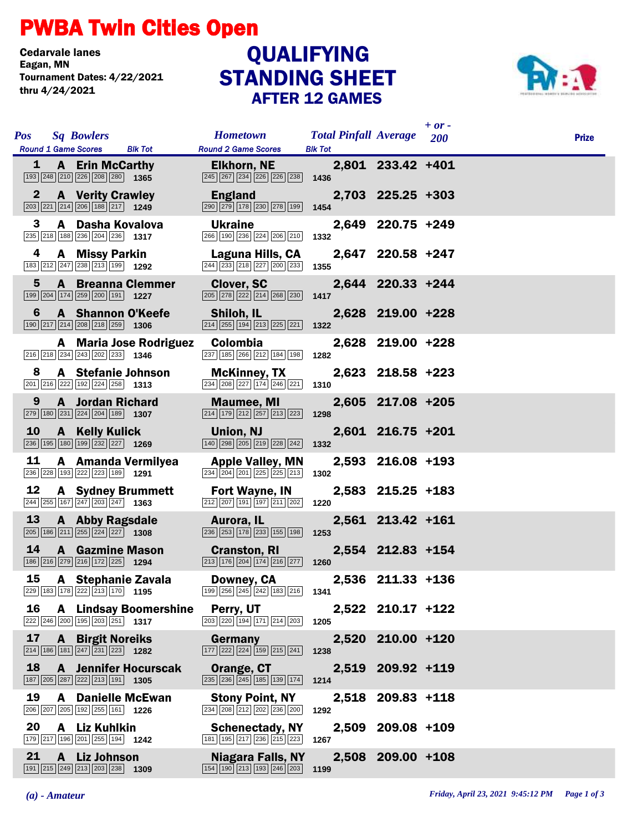## PWBA Twin Cities Open

Cedarvale lanes<br>Eagan, MN Tournament Dates: 4/22/2021 thru 4/24/2021

## STANDING SHEET AFTER 12 GAMES **QUALIFYING**



| <b>Pos</b>              | <b>Round 1 Game Scores</b> | <b>Sq Bowlers</b>                                                                                                           | <b>Blk Tot</b>                | <b>Hometown</b><br><b>Round 2 Game Scores</b>                                                                 | <b>Total Pinfall Average</b> 200<br><b>Blk Tot</b> |                   | $+ or -$ | <b>Prize</b> |
|-------------------------|----------------------------|-----------------------------------------------------------------------------------------------------------------------------|-------------------------------|---------------------------------------------------------------------------------------------------------------|----------------------------------------------------|-------------------|----------|--------------|
| 1                       |                            | <b>A</b> Erin McCarthy<br>193 248 210 226 208 280 1365                                                                      |                               | <b>Elkhorn, NE</b><br>245 267 234 226 226 238 1436                                                            |                                                    | 2,801 233.42 +401 |          |              |
| 2                       |                            | <b>A</b> Verity Crawley<br>$\boxed{203}$ $\boxed{221}$ $\boxed{214}$ $\boxed{206}$ $\boxed{188}$ $\boxed{217}$ <b>1249</b>  |                               | <b>England</b><br>290 279 178 230 278 199                                                                     | 1454                                               | 2,703 225.25 +303 |          |              |
| 3                       |                            | A Dasha Kovalova<br>235 218 188 236 204 236 1317                                                                            |                               | <b>Ukraine</b><br>266 190 236 224 206 210                                                                     | 1332                                               | 2,649 220.75 +249 |          |              |
| 4                       |                            | <b>A</b> Missy Parkin<br>183 212 247 238 213 199 1292                                                                       |                               | Laguna Hills, CA<br>$\boxed{244}\boxed{233}\boxed{218}\boxed{227}\boxed{200}\boxed{233}$                      | 1355                                               | 2,647 220.58 +247 |          |              |
| $\overline{\mathbf{5}}$ |                            | $\boxed{199}$ $\boxed{204}$ $\boxed{174}$ $\boxed{259}$ $\boxed{200}$ $\boxed{191}$ <b>1227</b>                             | <b>A</b> Breanna Clemmer      | <b>Clover, SC</b><br>205 278 222 214 268 230                                                                  | 1417                                               | 2,644 220.33 +244 |          |              |
| 6                       |                            | <b>A</b> Shannon O'Keefe<br>$\boxed{190}$ $\boxed{217}$ $\boxed{214}$ $\boxed{208}$ $\boxed{218}$ $\boxed{259}$ <b>1306</b> |                               | Shiloh, IL<br>$\boxed{214}$ $\boxed{255}$ $\boxed{194}$ $\boxed{213}$ $\boxed{225}$ $\boxed{221}$             | 1322                                               | 2,628 219.00 +228 |          |              |
|                         |                            | $\boxed{216}$ $\boxed{218}$ $\boxed{234}$ $\boxed{243}$ $\boxed{202}$ $\boxed{233}$ <b>1346</b>                             | <b>A</b> Maria Jose Rodriguez | Colombia<br>237 185 266 212 184 198                                                                           | 1282                                               | 2,628 219.00 +228 |          |              |
| 8                       |                            | A Stefanie Johnson<br>$\boxed{201}$ $\boxed{216}$ $\boxed{222}$ $\boxed{192}$ $\boxed{224}$ $\boxed{258}$ <b>1313</b>       |                               | <b>McKinney, TX</b><br>234 208 227 174 246 221                                                                | 1310                                               | 2,623 218.58 +223 |          |              |
| 9                       |                            | <b>A</b> Jordan Richard<br>$\boxed{279}$ 180 $\boxed{231}$ $\boxed{224}$ $\boxed{204}$ 189 1307                             |                               | <b>Maumee, MI</b><br>$\boxed{214}$ $\boxed{179}$ $\boxed{212}$ $\boxed{257}$ $\boxed{213}$ $\boxed{223}$      | 1298                                               | 2,605 217.08 +205 |          |              |
| 10                      |                            | A Kelly Kulick<br>236 195 180 199 232 227 1269                                                                              |                               | Union, NJ<br>140 298 205 219 228 242                                                                          | 1332                                               | 2,601 216.75 +201 |          |              |
| 11                      |                            | 236 228 193 222 223 189 1291                                                                                                | A Amanda Vermilyea            | <b>Apple Valley, MN</b><br>234 204 201 225 225 213                                                            | 1302                                               | 2,593 216.08 +193 |          |              |
| 12                      |                            | $\overline{244}$ $\overline{255}$ $\overline{167}$ $\overline{247}$ $\overline{203}$ $\overline{247}$ 1363                  | <b>A</b> Sydney Brummett      | Fort Wayne, IN<br>212 207 191 197 211 202                                                                     | 1220                                               | 2,583 215.25 +183 |          |              |
| 13                      |                            | A Abby Ragsdale<br>$\boxed{205}$ 186 211 255 224 227 1308                                                                   |                               | Aurora, IL<br>236 253 178 233 155 198                                                                         | 1253                                               | 2,561 213.42 +161 |          |              |
| 14                      |                            | <b>A</b> Gazmine Mason<br>186 216 279 216 172 225 1294                                                                      |                               | <b>Cranston, RI</b><br>$\boxed{213}$ $\boxed{176}$ $\boxed{204}$ $\boxed{174}$ $\boxed{216}$ $\boxed{277}$    | 1260                                               | 2,554 212.83 +154 |          |              |
| 15                      |                            | A Stephanie Zavala<br>229 183 178 222 213 170 1195                                                                          |                               | Downey, CA<br>$\boxed{199}$ $\boxed{256}$ $\boxed{245}$ $\boxed{242}$ $\boxed{183}$ $\boxed{216}$ <b>1341</b> |                                                    | 2,536 211.33 +136 |          |              |
| 16                      |                            | 222 246 200 195 203 251 1317                                                                                                | <b>A</b> Lindsay Boomershine  | Perry, UT<br>203 220 194 171 214 203                                                                          | 1205                                               | 2,522 210.17 +122 |          |              |
| 17                      |                            | <b>A</b> Birgit Noreiks<br>$\overline{ 214 } 186   181   247   231   223 $ 1282                                             |                               | Germany<br>177 222 224 159 215 241                                                                            | 1238                                               | 2,520 210.00 +120 |          |              |
| 18                      |                            | $\boxed{187}$ $\boxed{205}$ $\boxed{287}$ $\boxed{222}$ $\boxed{213}$ $\boxed{191}$ <b>1305</b>                             | <b>A</b> Jennifer Hocurscak   | Orange, CT<br>235 236 245 185 139 174                                                                         | 1214                                               | 2,519 209.92 +119 |          |              |
| 19                      |                            | <b>A</b> Danielle McEwan<br>206 207 205 192 255 161 1226                                                                    |                               | <b>Stony Point, NY</b><br>234 208 212 202 236 200                                                             | 1292                                               | 2,518 209.83 +118 |          |              |
| 20                      |                            | A Liz Kuhlkin<br>179 217 196 201 255 194 1242                                                                               |                               | <b>Schenectady, NY</b><br>181 195 217 236 215 223                                                             | 1267                                               | 2,509 209.08 +109 |          |              |
| 21                      |                            | A Liz Johnson<br>191 215 249 213 203 238 1309                                                                               |                               | <b>Niagara Falls, NY</b><br>154 190 213 193 246 203                                                           | 1199                                               | 2,508 209.00 +108 |          |              |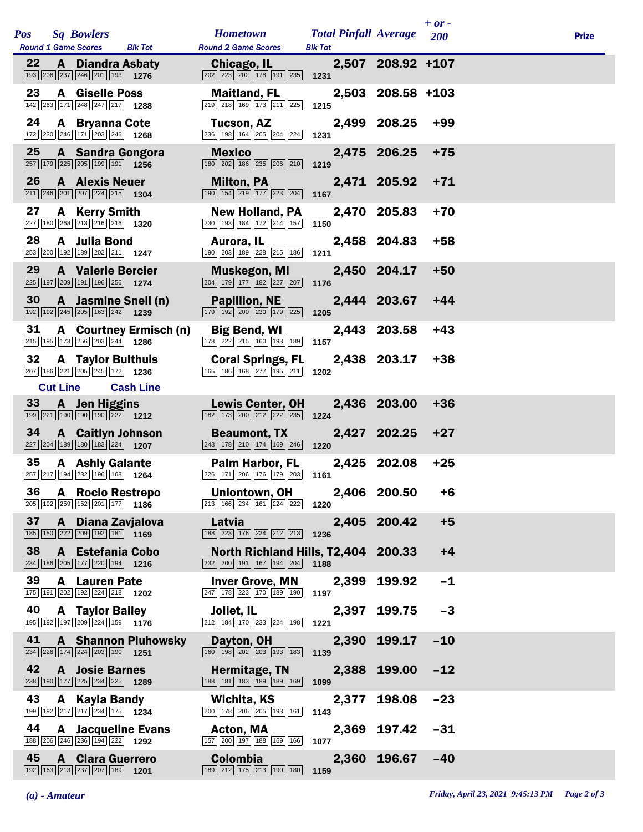|     |                 |                                                                                                                          |                            |                                                                                                            |                                                |                   | $+ or -$ |              |
|-----|-----------------|--------------------------------------------------------------------------------------------------------------------------|----------------------------|------------------------------------------------------------------------------------------------------------|------------------------------------------------|-------------------|----------|--------------|
| Pos |                 | <b>Sq Bowlers</b><br><b>Round 1 Game Scores</b>                                                                          | <b>Blk Tot</b>             | <b>Hometown</b><br><b>Round 2 Game Scores</b>                                                              | <b>Total Pinfall Average</b><br><b>Blk Tot</b> |                   | 200      | <b>Prize</b> |
| 22  |                 | <b>A</b> Diandra Asbaty<br>193 206 237 246 201 193 1276                                                                  |                            | Chicago, IL<br>202 223 202 178 191 235                                                                     | 1231                                           | 2,507 208.92 +107 |          |              |
| 23  | A               | <b>Giselle Poss</b><br>142 263 171 248 247 217 1288                                                                      |                            | <b>Maitland, FL</b><br>219 218 169 173 211 225                                                             | 1215                                           | 2,503 208.58 +103 |          |              |
| 24  |                 | <b>A</b> Bryanna Cote<br>172 230 246 171 203 246 1268                                                                    |                            | Tucson, AZ<br>236 198 164 205 204 224                                                                      | 1231                                           | 2,499 208.25      | +99      |              |
| 25  |                 | <b>A</b> Sandra Gongora<br>257 179 225 205 199 191 1256                                                                  |                            | <b>Mexico</b><br>180 202 186 235 206 210                                                                   | 1219                                           | 2,475 206.25      | $+75$    |              |
| 26  |                 | <b>A</b> Alexis Neuer<br>$\boxed{211}$ $\boxed{246}$ $\boxed{201}$ $\boxed{207}$ $\boxed{224}$ $\boxed{215}$ <b>1304</b> |                            | <b>Milton, PA</b><br>190 154 219 177 223 204                                                               | 1167                                           | 2,471 205.92      | $+71$    |              |
| 27  |                 | A Kerry Smith<br>227 180 268 213 216 216 1320                                                                            |                            | <b>New Holland, PA</b><br>230 193 184 172 214 157                                                          | 1150                                           | 2,470 205.83      | $+70$    |              |
| 28  |                 | A Julia Bond<br>253 200 192 189 202 211 1247                                                                             |                            | Aurora, IL<br>190 203 189 228 215 186                                                                      | 1211                                           | 2,458 204.83      | $+58$    |              |
| 29  |                 | <b>A</b> Valerie Bercier<br>225 197 209 191 196 256 1274                                                                 |                            | <b>Muskegon, MI</b><br>204 179 177 182 227 207                                                             | 1176                                           | 2,450 204.17      | $+50$    |              |
| 30  |                 | A Jasmine Snell (n)<br>192 192 245 205 163 242 1239                                                                      |                            | <b>Papillion, NE</b><br>179 192 200 230 179 225                                                            | 1205                                           | 2,444 203.67      | $+44$    |              |
| 31  |                 | $\boxed{215}$ 195 173 256 203 244 1286                                                                                   | A Courtney Ermisch (n)     | <b>Big Bend, WI</b><br>178 222 215 160 193 189                                                             | 2,443<br>1157                                  | 203.58            | $+43$    |              |
| 32  |                 | <b>A</b> Taylor Bulthuis<br>207 186 221 205 245 172 1236                                                                 |                            | <b>Coral Springs, FL</b><br>165 186 168 277 195 211                                                        | 1202                                           | 2,438 203.17      | $+38$    |              |
|     | <b>Cut Line</b> |                                                                                                                          | <b>Cash Line</b>           |                                                                                                            |                                                |                   |          |              |
| 33  |                 | A Jen Higgins<br>199 221 190 190 190 222 1212                                                                            |                            | <b>Lewis Center, OH</b><br>182 173 200 212 222 235                                                         | 1224                                           | 2,436 203.00      | $+36$    |              |
| 34  |                 | <b>A</b> Caitlyn Johnson<br>$\boxed{227}$ $\boxed{204}$ 189 180 183 224 1207                                             |                            | <b>Beaumont, TX</b><br>$\boxed{243}$ $\boxed{178}$ $\boxed{210}$ $\boxed{174}$ $\boxed{169}$ $\boxed{246}$ | 1220                                           | 2,427 202.25      | $+27$    |              |
| 35  |                 | <b>A</b> Ashly Galante<br>257 217 194 232 196 168 1264                                                                   |                            | Palm Harbor, FL<br>226 171 206 176 179 203                                                                 | 1161                                           | 2,425 202.08      | $+25$    |              |
| 36  |                 | A Rocio Restrepo<br>205 192 259 152 201 177 1186                                                                         |                            | Uniontown, OH<br>$\boxed{213}$ $\boxed{166}$ $\boxed{234}$ $\boxed{161}$ $\boxed{224}$ $\boxed{222}$       | 1220                                           | 2,406 200.50      | +6       |              |
| 37  | $\mathbf{A}$    | Diana Zavjalova<br>185 180 222 209 192 181 169                                                                           |                            | Latvia<br>188 223 176 224 212 213                                                                          | 1236                                           | 2,405 200.42      | $+5$     |              |
| 38  |                 | A Estefania Cobo<br>234 186 205 177 220 194 1216                                                                         |                            | North Richland Hills, T2,404 200.33<br>$\boxed{232}$ $\boxed{200}$ 191 167 194 204                         | 1188                                           |                   | $+4$     |              |
| 39  |                 | <b>A</b> Lauren Pate<br>175 191 202 192 224 218 1202                                                                     |                            | <b>Inver Grove, MN</b><br>247 178 223 170 189 190                                                          | 2,399<br>1197                                  | 199.92            | $-1$     |              |
| 40  |                 | <b>A</b> Taylor Bailey<br>195 192 197 209 224 159 1776                                                                   |                            | Joliet. IL<br>212 184 170 233 224 198                                                                      | 2,397<br>1221                                  | 199.75            | $-3$     |              |
| 41  |                 | $\boxed{234}$ $\boxed{226}$ $\boxed{174}$ $\boxed{224}$ $\boxed{203}$ $\boxed{190}$ <b>1251</b>                          | <b>A</b> Shannon Pluhowsky | Dayton, OH<br>160 198 202 203 193 183                                                                      | 2,390<br>1139                                  | 199.17            | $-10$    |              |
| 42  |                 | <b>A</b> Josie Barnes<br>238 190 177 225 234 225 1289                                                                    |                            | Hermitage, TN<br>188 181 183 189 189 169                                                                   | 1099                                           | 2,388 199.00      | $-12$    |              |
| 43  | A               | Kayla Bandy<br>199 192 217 217 234 175 1234                                                                              |                            | Wichita, KS<br>200 178 206 205 193 161                                                                     | 2,377<br>1143                                  | 198.08            | $-23$    |              |
| 44  |                 | <b>A</b> Jacqueline Evans<br>188 206 246 236 194 222 1292                                                                |                            | Acton, MA<br>157 200 197 188 169 166                                                                       | 2,369<br>1077                                  | 197.42            | $-31$    |              |
| 45  | A               | <b>Clara Guerrero</b><br>192 163 213 237 207 189 1201                                                                    |                            | Colombia<br>189 212 175 213 190 180                                                                        | 1159                                           | 2,360 196.67      | $-40$    |              |